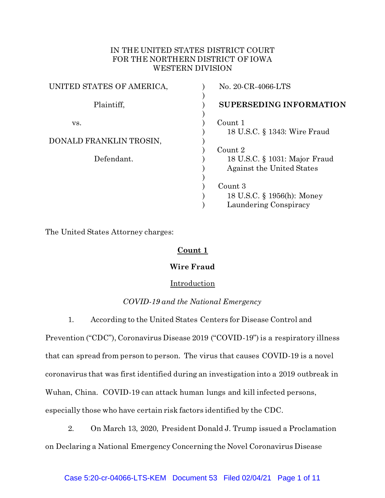# IN THE UNITED STATES DISTRICT COURT FOR THE NORTHERN DISTRICT OF IOWA WESTERN DIVISION

| UNITED STATES OF AMERICA, | No. 20-CR-4066-LTS                                         |
|---------------------------|------------------------------------------------------------|
| Plaintiff,                | <b>SUPERSEDING INFORMATION</b>                             |
| VS.                       | Count 1<br>18 U.S.C. § 1343: Wire Fraud                    |
| DONALD FRANKLIN TROSIN,   |                                                            |
|                           | Count 2                                                    |
| Defendant.                | 18 U.S.C. § 1031: Major Fraud<br>Against the United States |
|                           |                                                            |
|                           | Count 3                                                    |
|                           | 18 U.S.C. § 1956(h): Money                                 |
|                           | Laundering Conspiracy                                      |

The United States Attorney charges:

# **Count 1**

## **Wire Fraud**

## Introduction

## *COVID-19 and the National Emergency*

1. According to the United States Centers for Disease Control and

Prevention ("CDC"), Coronavirus Disease 2019 ("COVID-19") is a respiratory illness that can spread from person to person. The virus that causes COVID-19 is a novel coronavirus that was first identified during an investigation into a 2019 outbreak in Wuhan, China. COVID-19 can attack human lungs and kill infected persons, especially those who have certain risk factors identified by the CDC.

2. On March 13, 2020, President Donald J. Trump issued a Proclamation on Declaring a National Emergency Concerning the Novel Coronavirus Disease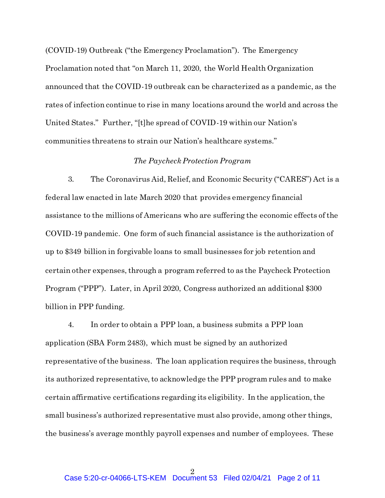(COVID-19) Outbreak ("the Emergency Proclamation"). The Emergency Proclamation noted that "on March 11, 2020, the World Health Organization announced that the COVID-19 outbreak can be characterized as a pandemic, as the rates of infection continue to rise in many locations around the world and across the United States." Further, "[t]he spread of COVID-19 within our Nation's communities threatens to strain our Nation's healthcare systems."

## *The Paycheck Protection Program*

3. The Coronavirus Aid, Relief, and Economic Security ("CARES") Act is a federal law enacted in late March 2020 that provides emergency financial assistance to the millions of Americans who are suffering the economic effects of the COVID-19 pandemic. One form of such financial assistance is the authorization of up to \$349 billion in forgivable loans to small businesses for job retention and certain other expenses, through a program referred to as the Paycheck Protection Program ("PPP"). Later, in April 2020, Congress authorized an additional \$300 billion in PPP funding.

4. In order to obtain a PPP loan, a business submits a PPP loan application (SBA Form 2483), which must be signed by an authorized representative of the business. The loan application requires the business, through its authorized representative, to acknowledge the PPP program rules and to make certain affirmative certifications regarding its eligibility. In the application, the small business's authorized representative must also provide, among other things, the business's average monthly payroll expenses and number of employees. These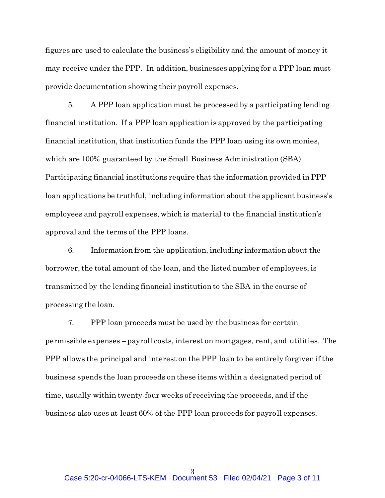figures are used to calculate the business's eligibility and the amount of money it may receive under the PPP. In addition, businesses applying for a PPP loan must provide documentation showing their payroll expenses.

5. A PPP loan application must be processed by a participating lending financial institution. If a PPP loan application is approved by the participating financial institution, that institution funds the PPP loan using its own monies, which are 100% guaranteed by the Small Business Administration (SBA). Participating financial institutions require that the information provided in PPP loan applications be truthful, including information about the applicant business's employees and payroll expenses, which is material to the financial institution's approval and the terms of the PPP loans.

6. Information from the application, including information about the borrower, the total amount of the loan, and the listed number of employees, is transmitted by the lending financial institution to the SBA in the course of processing the loan.

7. PPP loan proceeds must be used by the business for certain permissible expenses – payroll costs, interest on mortgages, rent, and utilities. The PPP allows the principal and interest on the PPP loan to be entirely forgiven if the business spends the loan proceeds on these items within a designated period of time, usually within twenty-four weeks of receiving the proceeds, and if the business also uses at least 60% of the PPP loan proceeds for payroll expenses.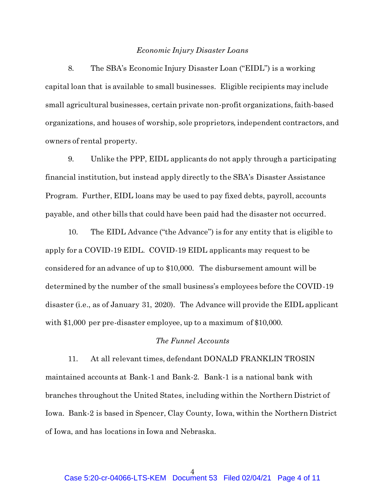#### *Economic Injury Disaster Loans*

8. The SBA's Economic Injury Disaster Loan ("EIDL") is a working capital loan that is available to small businesses. Eligible recipients may include small agricultural businesses, certain private non-profit organizations, faith-based organizations, and houses of worship, sole proprietors, independent contractors, and owners of rental property.

9. Unlike the PPP, EIDL applicants do not apply through a participating financial institution, but instead apply directly to the SBA's Disaster Assistance Program. Further, EIDL loans may be used to pay fixed debts, payroll, accounts payable, and other bills that could have been paid had the disaster not occurred.

10. The EIDL Advance ("the Advance") is for any entity that is eligible to apply for a COVID-19 EIDL. COVID-19 EIDL applicants may request to be considered for an advance of up to \$10,000. The disbursement amount will be determined by the number of the small business's employees before the COVID-19 disaster (i.e., as of January 31, 2020). The Advance will provide the EIDL applicant with \$1,000 per pre-disaster employee, up to a maximum of \$10,000.

## *The Funnel Accounts*

11. At all relevant times, defendant DONALD FRANKLIN TROSIN maintained accounts at Bank-1 and Bank-2. Bank-1 is a national bank with branches throughout the United States, including within the Northern District of Iowa. Bank-2 is based in Spencer, Clay County, Iowa, within the Northern District of Iowa, and has locations in Iowa and Nebraska.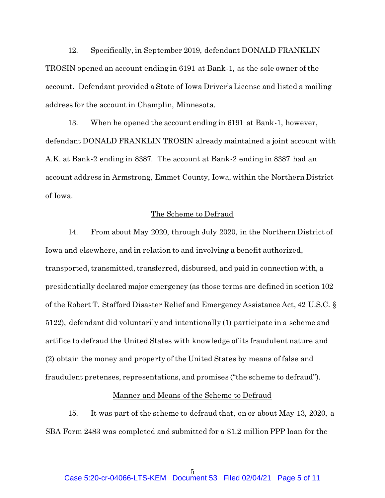12. Specifically, in September 2019, defendant DONALD FRANKLIN TROSIN opened an account ending in 6191 at Bank-1, as the sole owner of the account. Defendant provided a State of Iowa Driver's License and listed a mailing address for the account in Champlin, Minnesota.

13. When he opened the account ending in 6191 at Bank-1, however, defendant DONALD FRANKLIN TROSIN already maintained a joint account with A.K. at Bank-2 ending in 8387. The account at Bank-2 ending in 8387 had an account address in Armstrong, Emmet County, Iowa, within the Northern District of Iowa.

## The Scheme to Defraud

14. From about May 2020, through July 2020, in the Northern District of Iowa and elsewhere, and in relation to and involving a benefit authorized, transported, transmitted, transferred, disbursed, and paid in connection with, a presidentially declared major emergency (as those terms are defined in section 102 of the Robert T. Stafford Disaster Relief and Emergency Assistance Act, 42 U.S.C. § 5122), defendant did voluntarily and intentionally (1) participate in a scheme and artifice to defraud the United States with knowledge of its fraudulent nature and (2) obtain the money and property of the United States by means of false and fraudulent pretenses, representations, and promises ("the scheme to defraud").

#### Manner and Means of the Scheme to Defraud

15. It was part of the scheme to defraud that, on or about May 13, 2020, a SBA Form 2483 was completed and submitted for a \$1.2 million PPP loan for the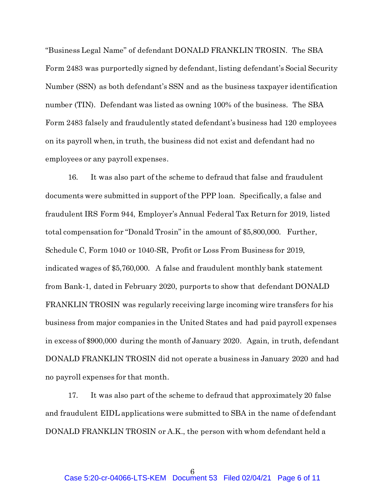"Business Legal Name" of defendant DONALD FRANKLIN TROSIN. The SBA Form 2483 was purportedly signed by defendant, listing defendant's Social Security Number (SSN) as both defendant's SSN and as the business taxpayer identification number (TIN). Defendant was listed as owning 100% of the business. The SBA Form 2483 falsely and fraudulently stated defendant's business had 120 employees on its payroll when, in truth, the business did not exist and defendant had no employees or any payroll expenses.

16. It was also part of the scheme to defraud that false and fraudulent documents were submitted in support of the PPP loan. Specifically, a false and fraudulent IRS Form 944, Employer's Annual Federal Tax Return for 2019, listed total compensation for "Donald Trosin" in the amount of \$5,800,000. Further, Schedule C, Form 1040 or 1040-SR, Profit or Loss From Business for 2019, indicated wages of \$5,760,000. A false and fraudulent monthly bank statement from Bank-1, dated in February 2020, purports to show that defendant DONALD FRANKLIN TROSIN was regularly receiving large incoming wire transfers for his business from major companies in the United States and had paid payroll expenses in excess of \$900,000 during the month of January 2020. Again, in truth, defendant DONALD FRANKLIN TROSIN did not operate a business in January 2020 and had no payroll expenses for that month.

17. It was also part of the scheme to defraud that approximately 20 false and fraudulent EIDL applications were submitted to SBA in the name of defendant DONALD FRANKLIN TROSIN or A.K., the person with whom defendant held a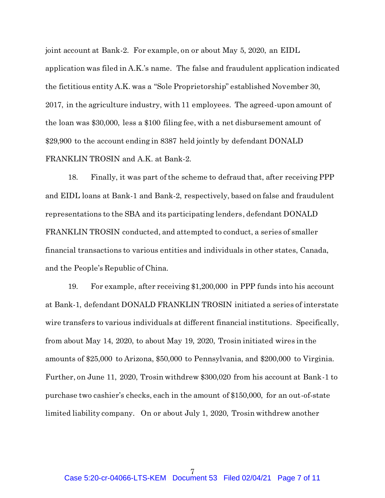joint account at Bank-2. For example, on or about May 5, 2020, an EIDL application was filed in A.K.'s name. The false and fraudulent application indicated the fictitious entity A.K. was a "Sole Proprietorship" established November 30, 2017, in the agriculture industry, with 11 employees. The agreed-upon amount of the loan was \$30,000, less a \$100 filing fee, with a net disbursement amount of \$29,900 to the account ending in 8387 held jointly by defendant DONALD FRANKLIN TROSIN and A.K. at Bank-2.

18. Finally, it was part of the scheme to defraud that, after receiving PPP and EIDL loans at Bank-1 and Bank-2, respectively, based on false and fraudulent representations to the SBA and its participating lenders, defendant DONALD FRANKLIN TROSIN conducted, and attempted to conduct, a series of smaller financial transactions to various entities and individuals in other states, Canada, and the People's Republic of China.

19. For example, after receiving \$1,200,000 in PPP funds into his account at Bank-1, defendant DONALD FRANKLIN TROSIN initiated a series of interstate wire transfers to various individuals at different financial institutions. Specifically, from about May 14, 2020, to about May 19, 2020, Trosin initiated wires in the amounts of \$25,000 to Arizona, \$50,000 to Pennsylvania, and \$200,000 to Virginia. Further, on June 11, 2020, Trosin withdrew \$300,020 from his account at Bank-1 to purchase two cashier's checks, each in the amount of \$150,000, for an out-of-state limited liability company. On or about July 1, 2020, Trosin withdrew another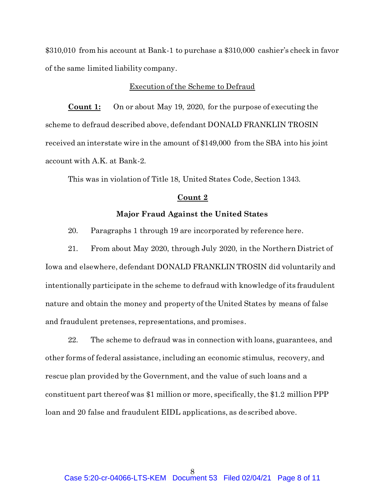\$310,010 from his account at Bank-1 to purchase a \$310,000 cashier's check in favor of the same limited liability company.

### Execution of the Scheme to Defraud

**Count 1:** On or about May 19, 2020, for the purpose of executing the scheme to defraud described above, defendant DONALD FRANKLIN TROSIN received an interstate wire in the amount of \$149,000 from the SBA into his joint account with A.K. at Bank-2.

This was in violation of Title 18, United States Code, Section 1343.

### **Count 2**

## **Major Fraud Against the United States**

20. Paragraphs 1 through 19 are incorporated by reference here.

21. From about May 2020, through July 2020, in the Northern District of Iowa and elsewhere, defendant DONALD FRANKLIN TROSIN did voluntarily and intentionally participate in the scheme to defraud with knowledge of its fraudulent nature and obtain the money and property of the United States by means of false and fraudulent pretenses, representations, and promises.

22. The scheme to defraud was in connection with loans, guarantees, and other forms of federal assistance, including an economic stimulus, recovery, and rescue plan provided by the Government, and the value of such loans and a constituent part thereof was \$1 million or more, specifically, the \$1.2 million PPP loan and 20 false and fraudulent EIDL applications, as described above.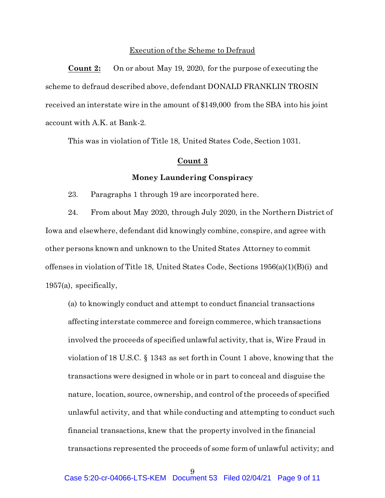### Execution of the Scheme to Defraud

**Count 2:** On or about May 19, 2020, for the purpose of executing the scheme to defraud described above, defendant DONALD FRANKLIN TROSIN received an interstate wire in the amount of \$149,000 from the SBA into his joint account with A.K. at Bank-2.

This was in violation of Title 18, United States Code, Section 1031.

## **Count 3**

## **Money Laundering Conspiracy**

23. Paragraphs 1 through 19 are incorporated here.

24. From about May 2020, through July 2020, in the Northern District of Iowa and elsewhere, defendant did knowingly combine, conspire, and agree with other persons known and unknown to the United States Attorney to commit offenses in violation of Title 18, United States Code, Sections 1956(a)(1)(B)(i) and 1957(a), specifically,

(a) to knowingly conduct and attempt to conduct financial transactions affecting interstate commerce and foreign commerce, which transactions involved the proceeds of specified unlawful activity, that is, Wire Fraud in violation of 18 U.S.C. § 1343 as set forth in Count 1 above, knowing that the transactions were designed in whole or in part to conceal and disguise the nature, location, source, ownership, and control of the proceeds of specified unlawful activity, and that while conducting and attempting to conduct such financial transactions, knew that the property involved in the financial transactions represented the proceeds of some form of unlawful activity; and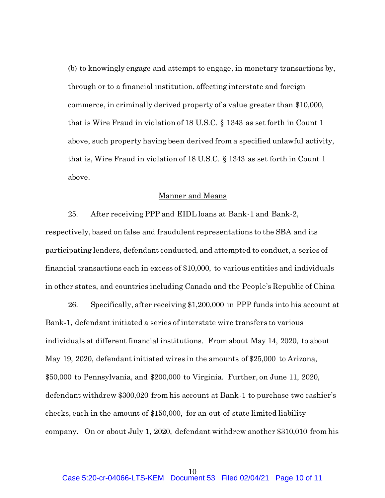(b) to knowingly engage and attempt to engage, in monetary transactions by, through or to a financial institution, affecting interstate and foreign commerce, in criminally derived property of a value greater than \$10,000, that is Wire Fraud in violation of 18 U.S.C. § 1343 as set forth in Count 1 above, such property having been derived from a specified unlawful activity, that is, Wire Fraud in violation of 18 U.S.C. § 1343 as set forth in Count 1 above.

#### Manner and Means

25. After receiving PPP and EIDL loans at Bank-1 and Bank-2, respectively, based on false and fraudulent representations to the SBA and its participating lenders, defendant conducted, and attempted to conduct, a series of financial transactions each in excess of \$10,000, to various entities and individuals in other states, and countries including Canada and the People's Republic of China

26. Specifically, after receiving \$1,200,000 in PPP funds into his account at Bank-1, defendant initiated a series of interstate wire transfers to various individuals at different financial institutions. From about May 14, 2020, to about May 19, 2020, defendant initiated wires in the amounts of \$25,000 to Arizona, \$50,000 to Pennsylvania, and \$200,000 to Virginia. Further, on June 11, 2020, defendant withdrew \$300,020 from his account at Bank-1 to purchase two cashier's checks, each in the amount of \$150,000, for an out-of-state limited liability company. On or about July 1, 2020, defendant withdrew another \$310,010 from his